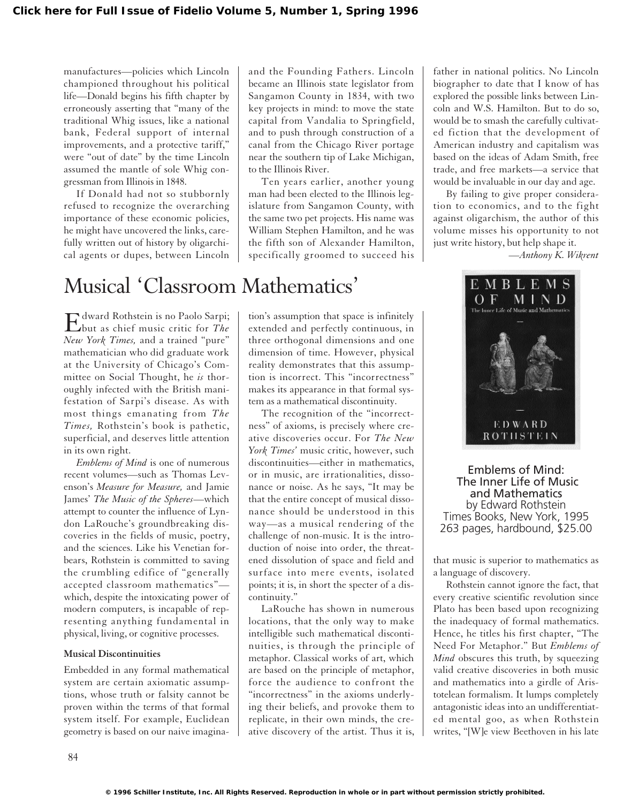manufactures—policies which Lincoln championed throughout his political life—Donald begins his fifth chapter by erroneously asserting that "many of the traditional Whig issues, like a national bank, Federal support of internal improvements, and a protective tariff," were "out of date" by the time Lincoln assumed the mantle of sole Whig congressman from Illinois in 1848.

If Donald had not so stubbornly refused to recognize the overarching importance of these economic policies, he might have uncovered the links, carefully written out of history by oligarchical agents or dupes, between Lincoln and the Founding Fathers. Lincoln became an Illinois state legislator from Sangamon County in 1834, with two key projects in mind: to move the state capital from Vandalia to Springfield, and to push through construction of a canal from the Chicago River portage near the southern tip of Lake Michigan, to the Illinois River.

Ten years earlier, another young man had been elected to the Illinois legislature from Sangamon County, with the same two pet projects. His name was William Stephen Hamilton, and he was the fifth son of Alexander Hamilton, specifically groomed to succeed his

## Musical 'Classroom Mathematics'

Edward Rothstein is no Paolo Sarpi; but as chief music critic for *The New York Times,* and a trained "pure" mathematician who did graduate work at the University of Chicago's Committee on Social Thought, he *is* thoroughly infected with the British manifestation of Sarpi's disease. As with most things emanating from *The Times,* Rothstein's book is pathetic, superficial, and deserves little attention in its own right.

*Emblems of Mind* is one of numerous recent volumes—such as Thomas Levenson's *Measure for Measure,* and Jamie James' *The Music of the Spheres*—which attempt to counter the influence of Lyndon LaRouche's groundbreaking discoveries in the fields of music, poetry, and the sciences. Like his Venetian forbears, Rothstein is committed to saving the crumbling edifice of "generally accepted classroom mathematics" which, despite the intoxicating power of modern computers, is incapable of representing anything fundamental in physical, living, or cognitive processes.

#### **Musical Discontinuities**

Embedded in any formal mathematical system are certain axiomatic assumptions, whose truth or falsity cannot be proven within the terms of that formal system itself. For example, Euclidean geometry is based on our naive imagination's assumption that space is infinitely extended and perfectly continuous, in three orthogonal dimensions and one dimension of time. However, physical reality demonstrates that this assumption is incorrect. This "incorrectness" makes its appearance in that formal system as a mathematical discontinuity.

The recognition of the "incorrectness" of axioms, is precisely where creative discoveries occur. For *The New York Times'* music critic, however, such discontinuities—either in mathematics, or in music, are irrationalities, dissonance or noise. As he says, "It may be that the entire concept of musical dissonance should be understood in this way—as a musical rendering of the challenge of non-music. It is the introduction of noise into order, the threatened dissolution of space and field and surface into mere events, isolated points; it is, in short the specter of a discontinuity."

LaRouche has shown in numerous locations, that the only way to make intelligible such mathematical discontinuities, is through the principle of metaphor. Classical works of art, which are based on the principle of metaphor, force the audience to confront the "incorrectness" in the axioms underlying their beliefs, and provoke them to replicate, in their own minds, the creative discovery of the artist. Thus it is,

father in national politics. No Lincoln biographer to date that I know of has explored the possible links between Lincoln and W.S. Hamilton. But to do so, would be to smash the carefully cultivated fiction that the development of American industry and capitalism was based on the ideas of Adam Smith, free trade, and free markets—a service that would be invaluable in our day and age.

By failing to give proper consideration to economics, and to the fight against oligarchism, the author of this volume misses his opportunity to not just write history, but help shape it.

*—Anthony K. Wikrent*



Emblems of Mind: The Inner Life of Music and Mathematics by Edward Rothstein Times Books, New York, 1995 263 pages, hardbound, \$25.00

that music is superior to mathematics as a language of discovery.

Rothstein cannot ignore the fact, that every creative scientific revolution since Plato has been based upon recognizing the inadequacy of formal mathematics. Hence, he titles his first chapter, "The Need For Metaphor." But *Emblems of Mind* obscures this truth, by squeezing valid creative discoveries in both music and mathematics into a girdle of Aristotelean formalism. It lumps completely antagonistic ideas into an undifferentiated mental goo, as when Rothstein writes, "[W]e view Beethoven in his late